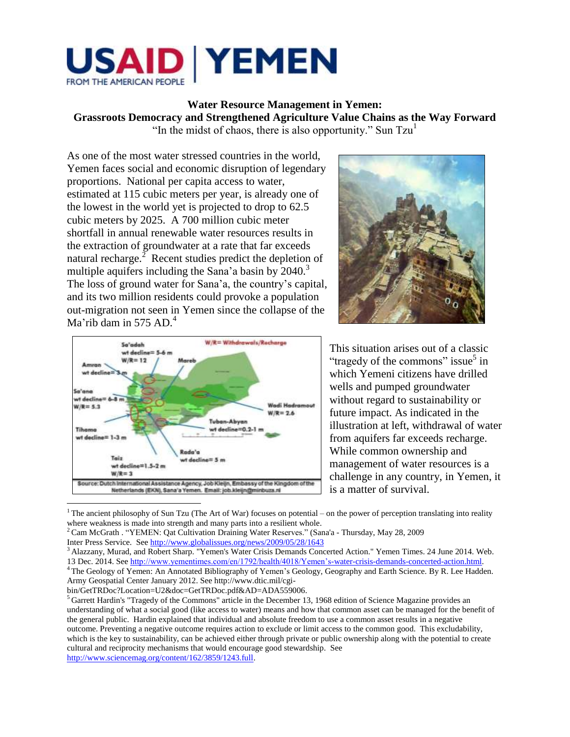

# **Water Resource Management in Yemen:**

**Grassroots Democracy and Strengthened Agriculture Value Chains as the Way Forward** "In the midst of chaos, there is also opportunity." Sun  $Tzu<sup>1</sup>$ 

As one of the most water stressed countries in the world, Yemen faces social and economic disruption of legendary proportions. National per capita access to water, estimated at 115 cubic meters per year, is already one of the lowest in the world yet is projected to drop to 62.5 cubic meters by 2025. A 700 million cubic meter shortfall in annual renewable water resources results in the extraction of groundwater at a rate that far exceeds natural recharge. $2 \text{ Recent studies predict the depletion of}$ multiple aquifers including the Sana'a basin by 2040.<sup>3</sup> The loss of ground water for Sana'a, the country's capital, and its two million residents could provoke a population out-migration not seen in Yemen since the collapse of the Ma'rib dam in 575 AD. $4$ 





This situation arises out of a classic "tragedy of the commons" issue<sup>5</sup> in which Yemeni citizens have drilled wells and pumped groundwater without regard to sustainability or future impact. As indicated in the illustration at left, withdrawal of water from aquifers far exceeds recharge. While common ownership and management of water resources is a challenge in any country, in Yemen, it is a matter of survival.

<sup>3</sup> Alazzany, Murad, and Robert Sharp. "Yemen's Water Crisis Demands Concerted Action." Yemen Times. 24 June 2014. Web.

<sup>&</sup>lt;sup>1</sup> The ancient philosophy of Sun Tzu (The Art of War) focuses on potential – on the power of perception translating into reality where weakness is made into strength and many parts into a resilient whole.

<sup>2</sup> Cam McGrath . "YEMEN: Qat Cultivation Draining Water Reserves." (Sana'a - Thursday, May 28, 2009 Inter Press Service. See <http://www.globalissues.org/news/2009/05/28/1643>

<sup>13</sup> Dec. 2014. See [http://www.yementimes.com/en/1792/health/4018/Yemen's-water-crisis-demands-concerted-action.html.](http://www.yementimes.com/en/1792/health/4018/Yemen) <sup>4</sup> The Geology of Yemen: An Annotated Bibliography of Yemen's Geology, Geography and Earth Science. By R. Lee Hadden.

Army Geospatial Center January 2012. See [http://www.dtic.mil/cgi](http://www.dtic.mil/cgi-bin/GetTRDoc?Location=U2&doc=GetTRDoc.pdf&AD=ADA559006)[bin/GetTRDoc?Location=U2&doc=GetTRDoc.pdf&AD=ADA559006.](http://www.dtic.mil/cgi-bin/GetTRDoc?Location=U2&doc=GetTRDoc.pdf&AD=ADA559006)

 $<sup>5</sup>$  Garrett Hardin's "Tragedy of the [Commons"](https://www.sciencemag.org/content/162/3859/1243.full) article in the December 13, 1968 edition of Science Magazine provides an</sup> understanding of what a social good (like access to water) means and how that common asset can be managed for the benefit of the general public. Hardin explained that individual and absolute freedom to use a common asset results in a negative outcome. Preventing a negative outcome requires action to exclude or limit access to the common good. This excludability, which is the key to sustainability, can be achieved either through private or public ownership along with the potential to create cultural and reciprocity mechanisms that would encourage good stewardship. See [http://www.sciencemag.org/content/162/3859/1243.full.](http://www.sciencemag.org/content/162/3859/1243.full)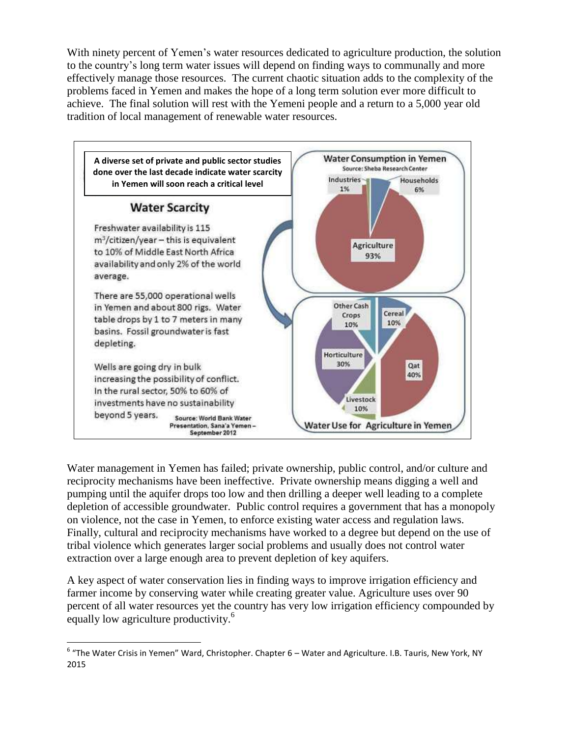With ninety percent of Yemen's water resources dedicated to agriculture production, the solution to the country's long term water issues will depend on finding ways to communally and more effectively manage those resources. The current chaotic situation adds to the complexity of the problems faced in Yemen and makes the hope of a long term solution ever more difficult to achieve. The final solution will rest with the Yemeni people and a return to a 5,000 year old tradition of local management of renewable water resources.



Water management in Yemen has failed; private ownership, public control, and/or culture and reciprocity mechanisms have been ineffective. Private ownership means digging a well and pumping until the aquifer drops too low and then drilling a deeper well leading to a complete depletion of accessible groundwater. Public control requires a government that has a monopoly on violence, not the case in Yemen, to enforce existing water access and regulation laws. Finally, cultural and reciprocity mechanisms have worked to a degree but depend on the use of tribal violence which generates larger social problems and usually does not control water extraction over a large enough area to prevent depletion of key aquifers.

A key aspect of water conservation lies in finding ways to improve irrigation efficiency and farmer income by conserving water while creating greater value. Agriculture uses over 90 percent of all water resources yet the country has very low irrigation efficiency compounded by equally low agriculture productivity.<sup>6</sup>

l

<sup>&</sup>lt;sup>6</sup> "The Water Crisis in Yemen" Ward, Christopher. Chapter 6 – Water and Agriculture. I.B. Tauris, New York, NY 2015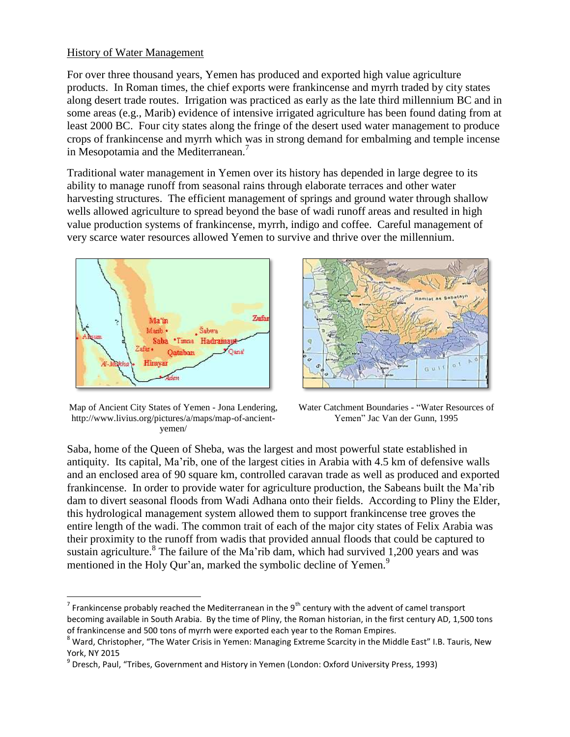### History of Water Management

For over three thousand years, Yemen has produced and exported high value agriculture products. In Roman times, the chief exports were frankincense and myrrh traded by city states along desert trade routes. Irrigation was practiced as early as the late third millennium BC and in some areas (e.g., Marib) evidence of intensive irrigated agriculture has been found dating from at least 2000 BC. Four city states along the fringe of the desert used water management to produce crops of frankincense and myrrh which was in strong demand for embalming and temple incense in Mesopotamia and the Mediterranean.<sup>7</sup>

Traditional water management in Yemen over its history has depended in large degree to its ability to manage runoff from seasonal rains through elaborate terraces and other water harvesting structures. The efficient management of springs and ground water through shallow wells allowed agriculture to spread beyond the base of wadi runoff areas and resulted in high value production systems of frankincense, myrrh, indigo and coffee. Careful management of very scarce water resources allowed Yemen to survive and thrive over the millennium.



Map of Ancient City States of Yemen - Jona Lendering, http://www.livius.org/pictures/a/maps/map-of-ancientyemen/

 $\overline{a}$ 



Water Catchment Boundaries - "Water Resources of Yemen" Jac Van der Gunn, 1995

Saba, home of the Queen of Sheba, was the largest and most powerful state established in antiquity. Its capital, Ma'rib, one of the largest cities in Arabia with 4.5 km of defensive walls and an enclosed area of 90 square km, controlled caravan trade as well as produced and exported frankincense. In order to provide water for agriculture production, the Sabeans built the Ma'rib dam to divert seasonal floods from Wadi Adhana onto their fields. According to Pliny the Elder, this hydrological management system allowed them to support frankincense tree groves the entire length of the wadi. The common trait of each of the major city states of Felix Arabia was their proximity to the runoff from wadis that provided annual floods that could be captured to sustain agriculture.<sup>8</sup> The failure of the Ma'rib dam, which had survived 1,200 years and was mentioned in the Holy Qur'an, marked the symbolic decline of Yemen.<sup>9</sup>

<sup>&</sup>lt;sup>7</sup> Frankincense probably reached the Mediterranean in the 9<sup>th</sup> century with the advent of camel transport becoming available in South Arabia. By the time of Pliny, the Roman historian, in the first century AD, 1,500 tons of frankincense and 500 tons of myrrh were exported each year to the Roman Empires.

<sup>&</sup>lt;sup>8</sup> Ward, Christopher, "The Water Crisis in Yemen: Managing Extreme Scarcity in the Middle East" I.B. Tauris, New York, NY 2015

<sup>&</sup>lt;sup>9</sup> Dresch, Paul, "Tribes, Government and History in Yemen (London: Oxford University Press, 1993)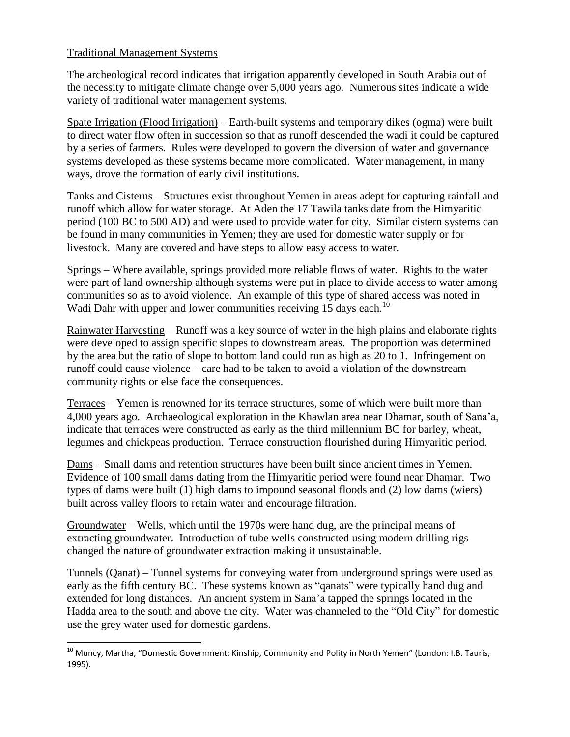## Traditional Management Systems

l

The archeological record indicates that irrigation apparently developed in South Arabia out of the necessity to mitigate climate change over 5,000 years ago. Numerous sites indicate a wide variety of traditional water management systems.

Spate Irrigation (Flood Irrigation) – Earth-built systems and temporary dikes (ogma) were built to direct water flow often in succession so that as runoff descended the wadi it could be captured by a series of farmers. Rules were developed to govern the diversion of water and governance systems developed as these systems became more complicated. Water management, in many ways, drove the formation of early civil institutions.

Tanks and Cisterns – Structures exist throughout Yemen in areas adept for capturing rainfall and runoff which allow for water storage. At Aden the 17 Tawila tanks date from the Himyaritic period (100 BC to 500 AD) and were used to provide water for city. Similar cistern systems can be found in many communities in Yemen; they are used for domestic water supply or for livestock. Many are covered and have steps to allow easy access to water.

Springs – Where available, springs provided more reliable flows of water. Rights to the water were part of land ownership although systems were put in place to divide access to water among communities so as to avoid violence. An example of this type of shared access was noted in Wadi Dahr with upper and lower communities receiving 15 days each.<sup>10</sup>

Rainwater Harvesting – Runoff was a key source of water in the high plains and elaborate rights were developed to assign specific slopes to downstream areas. The proportion was determined by the area but the ratio of slope to bottom land could run as high as 20 to 1. Infringement on runoff could cause violence – care had to be taken to avoid a violation of the downstream community rights or else face the consequences.

Terraces – Yemen is renowned for its terrace structures, some of which were built more than 4,000 years ago. Archaeological exploration in the Khawlan area near Dhamar, south of Sana'a, indicate that terraces were constructed as early as the third millennium BC for barley, wheat, legumes and chickpeas production. Terrace construction flourished during Himyaritic period.

Dams – Small dams and retention structures have been built since ancient times in Yemen. Evidence of 100 small dams dating from the Himyaritic period were found near Dhamar. Two types of dams were built (1) high dams to impound seasonal floods and (2) low dams (wiers) built across valley floors to retain water and encourage filtration.

Groundwater – Wells, which until the 1970s were hand dug, are the principal means of extracting groundwater. Introduction of tube wells constructed using modern drilling rigs changed the nature of groundwater extraction making it unsustainable.

Tunnels (Qanat) – Tunnel systems for conveying water from underground springs were used as early as the fifth century BC. These systems known as "qanats" were typically hand dug and extended for long distances. An ancient system in Sana'a tapped the springs located in the Hadda area to the south and above the city. Water was channeled to the "Old City" for domestic use the grey water used for domestic gardens.

<sup>&</sup>lt;sup>10</sup> Muncy, Martha, "Domestic Government: Kinship, Community and Polity in North Yemen" (London: I.B. Tauris, 1995).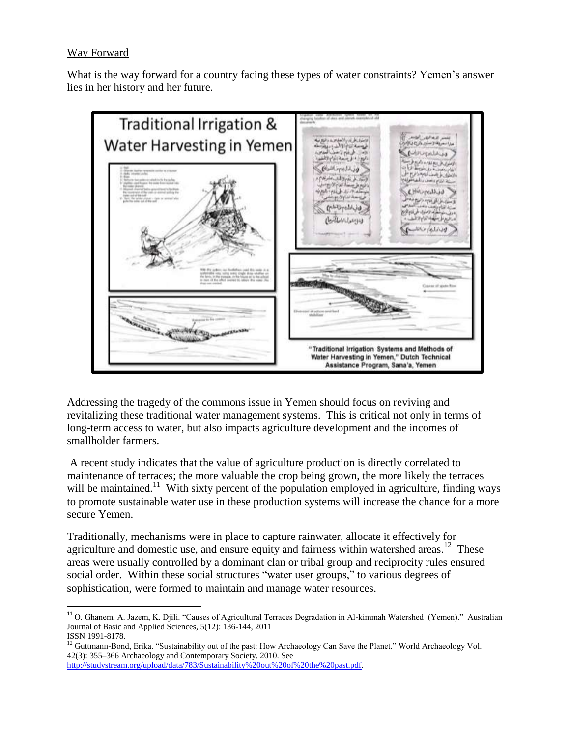# Way Forward

 $\overline{\phantom{a}}$ 

What is the way forward for a country facing these types of water constraints? Yemen's answer lies in her history and her future.



Addressing the tragedy of the commons issue in Yemen should focus on reviving and revitalizing these traditional water management systems. This is critical not only in terms of long-term access to water, but also impacts agriculture development and the incomes of smallholder farmers.

A recent study indicates that the value of agriculture production is directly correlated to maintenance of terraces; the more valuable the crop being grown, the more likely the terraces will be maintained.<sup>11</sup> With sixty percent of the population employed in agriculture, finding ways to promote sustainable water use in these production systems will increase the chance for a more secure Yemen.

Traditionally, mechanisms were in place to capture rainwater, allocate it effectively for agriculture and domestic use, and ensure equity and fairness within watershed areas.<sup>12</sup> These areas were usually controlled by a dominant clan or tribal group and reciprocity rules ensured social order. Within these social structures "water user groups," to various degrees of sophistication, were formed to maintain and manage water resources.

<sup>&</sup>lt;sup>11</sup> O. Ghanem, A. Jazem, K. Djili. "Causes of Agricultural Terraces Degradation in Al-kimmah Watershed (Yemen)." Australian Journal of Basic and Applied Sciences, 5(12): 136-144, 2011 ISSN 1991-8178.

<sup>&</sup>lt;sup>12</sup> Guttmann-Bond, Erika. "Sustainability out of the past: How Archaeology Can Save the Planet." World Archaeology Vol. 42(3): 355–366 Archaeology and Contemporary Society. 2010. See [http://studystream.org/upload/data/783/Sustainability%20out%20of%20the%20past.pdf.](http://studystream.org/upload/data/783/Sustainability%20out%20of%20the%20past.pdf)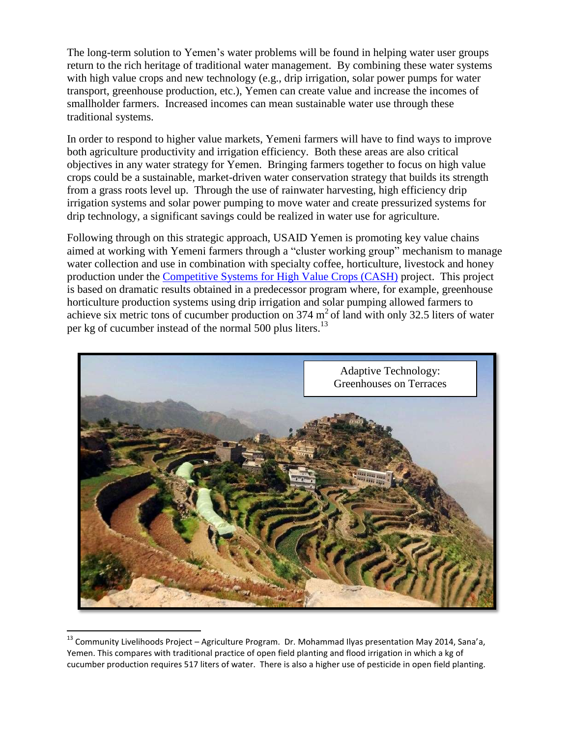The long-term solution to Yemen's water problems will be found in helping water user groups return to the rich heritage of traditional water management. By combining these water systems with high value crops and new technology (e.g., drip irrigation, solar power pumps for water transport, greenhouse production, etc.), Yemen can create value and increase the incomes of smallholder farmers. Increased incomes can mean sustainable water use through these traditional systems.

In order to respond to higher value markets, Yemeni farmers will have to find ways to improve both agriculture productivity and irrigation efficiency. Both these areas are also critical objectives in any water strategy for Yemen. Bringing farmers together to focus on high value crops could be a sustainable, market-driven water conservation strategy that builds its strength from a grass roots level up. Through the use of rainwater harvesting, high efficiency drip irrigation systems and solar power pumping to move water and create pressurized systems for drip technology, a significant savings could be realized in water use for agriculture.

Following through on this strategic approach, USAID Yemen is promoting key value chains aimed at working with Yemeni farmers through a "cluster working group" mechanism to manage water collection and use in combination with specialty coffee, horticulture, livestock and honey production under the [Competitive](http://vegaalliance.org/our-programs/cash/) Systems for High Value Crops (CASH) project. This project is based on dramatic results obtained in a predecessor program where, for example, greenhouse horticulture production systems using drip irrigation and solar pumping allowed farmers to achieve six metric tons of cucumber production on  $374 \text{ m}^2$  of land with only 32.5 liters of water per kg of cucumber instead of the normal 500 plus liters.<sup>13</sup>



<sup>&</sup>lt;sup>13</sup> Community Livelihoods Project – Agriculture Program. Dr. Mohammad Ilyas presentation May 2014, Sana'a, Yemen. This compares with traditional practice of open field planting and flood irrigation in which a kg of cucumber production requires 517 liters of water. There is also a higher use of pesticide in open field planting.

 $\overline{\phantom{a}}$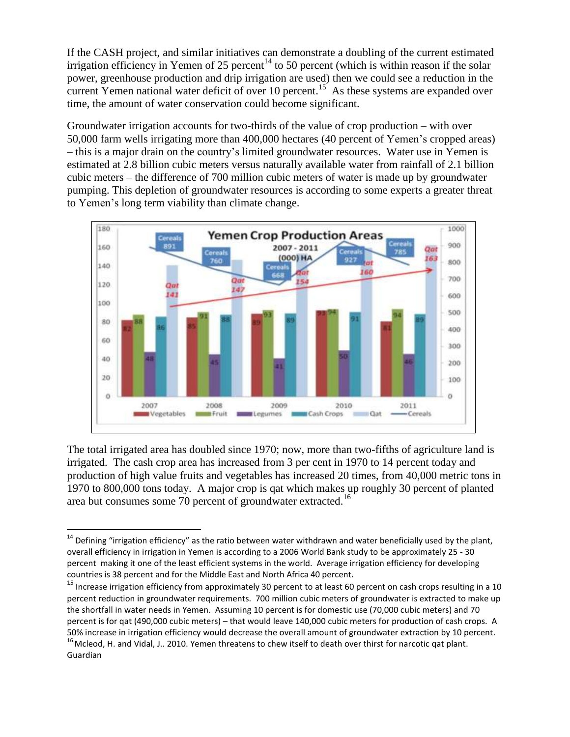If the CASH project, and similar initiatives can demonstrate a doubling of the current estimated irrigation efficiency in Yemen of 25 percent<sup>14</sup> to 50 percent (which is within reason if the solar power, greenhouse production and drip irrigation are used) then we could see a reduction in the current Yemen national water deficit of over 10 percent.<sup>15</sup> As these systems are expanded over time, the amount of water conservation could become significant.

Groundwater irrigation accounts for two-thirds of the value of crop production – with over 50,000 farm wells irrigating more than 400,000 hectares (40 percent of Yemen's cropped areas) – this is a major drain on the country's limited groundwater resources. Water use in Yemen is estimated at 2.8 billion cubic meters versus naturally available water from rainfall of 2.1 billion cubic meters – the difference of 700 million cubic meters of water is made up by groundwater pumping. This depletion of groundwater resources is according to some experts a greater threat to Yemen's long term viability than climate change.



The total irrigated area has doubled since 1970; now, more than two-fifths of agriculture land is irrigated. The cash crop area has increased from 3 per cent in 1970 to 14 percent today and production of high value fruits and vegetables has increased 20 times, from 40,000 metric tons in 1970 to 800,000 tons today. A major crop is qat which makes up roughly 30 percent of planted area but consumes some 70 percent of groundwater extracted.<sup>16</sup>

l

 $14$  Defining "irrigation efficiency" as the ratio between water withdrawn and water beneficially used by the plant, overall efficiency in irrigation in Yemen is according to a 2006 World Bank study to be approximately 25 - 30 percent making it one of the least efficient systems in the world. Average irrigation efficiency for developing countries is 38 percent and for the Middle East and North Africa 40 percent.

 $15$  Increase irrigation efficiency from approximately 30 percent to at least 60 percent on cash crops resulting in a 10 percent reduction in groundwater requirements. 700 million cubic meters of groundwater is extracted to make up the shortfall in water needs in Yemen. Assuming 10 percent is for domestic use (70,000 cubic meters) and 70 percent is for qat (490,000 cubic meters) – that would leave 140,000 cubic meters for production of cash crops. A 50% increase in irrigation efficiency would decrease the overall amount of groundwater extraction by 10 percent. <sup>16</sup> Mcleod, H. and Vidal, J.. 2010. Yemen threatens to chew itself to death over thirst for narcotic qat plant. Guardian